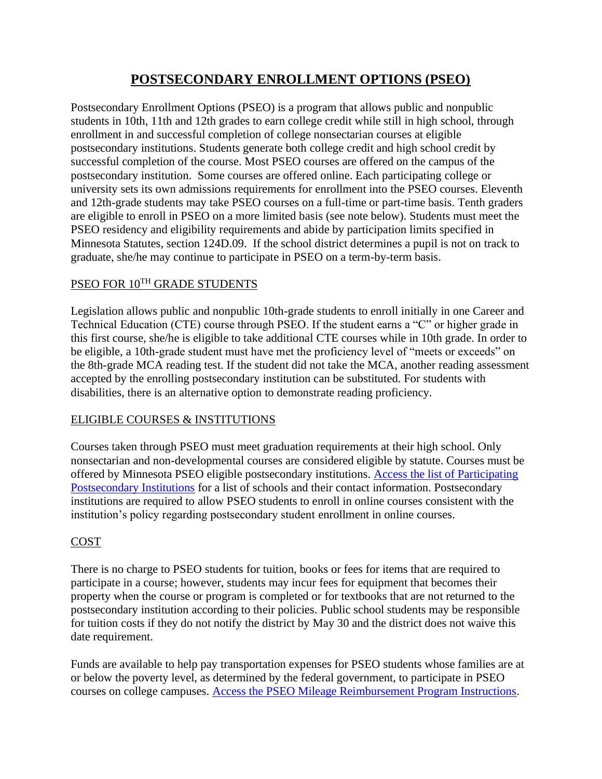# **POSTSECONDARY ENROLLMENT OPTIONS (PSEO)**

Postsecondary Enrollment Options (PSEO) is a program that allows public and nonpublic students in 10th, 11th and 12th grades to earn college credit while still in high school, through enrollment in and successful completion of college nonsectarian courses at eligible postsecondary institutions. Students generate both college credit and high school credit by successful completion of the course. Most PSEO courses are offered on the campus of the postsecondary institution. Some courses are offered online. Each participating college or university sets its own admissions requirements for enrollment into the PSEO courses. Eleventh and 12th-grade students may take PSEO courses on a full-time or part-time basis. Tenth graders are eligible to enroll in PSEO on a more limited basis (see note below). Students must meet the PSEO residency and eligibility requirements and abide by participation limits specified in Minnesota Statutes, section 124D.09. If the school district determines a pupil is not on track to graduate, she/he may continue to participate in PSEO on a term-by-term basis.

# PSEO FOR 10TH GRADE STUDENTS

Legislation allows public and nonpublic 10th-grade students to enroll initially in one Career and Technical Education (CTE) course through PSEO. If the student earns a "C" or higher grade in this first course, she/he is eligible to take additional CTE courses while in 10th grade. In order to be eligible, a 10th-grade student must have met the proficiency level of "meets or exceeds" on the 8th-grade MCA reading test. If the student did not take the MCA, another reading assessment accepted by the enrolling postsecondary institution can be substituted. For students with disabilities, there is an alternative option to demonstrate reading proficiency.

# ELIGIBLE COURSES & INSTITUTIONS

Courses taken through PSEO must meet graduation requirements at their high school. Only nonsectarian and non-developmental courses are considered eligible by statute. Courses must be offered by Minnesota PSEO eligible postsecondary institutions. Access the list of Participating Postsecondary Institutions for a list of schools and their contact information. Postsecondary institutions are required to allow PSEO students to enroll in online courses consistent with the institution's policy regarding postsecondary student enrollment in online courses.

# **COST**

There is no charge to PSEO students for tuition, books or fees for items that are required to participate in a course; however, students may incur fees for equipment that becomes their property when the course or program is completed or for textbooks that are not returned to the postsecondary institution according to their policies. Public school students may be responsible for tuition costs if they do not notify the district by May 30 and the district does not waive this date requirement.

Funds are available to help pay transportation expenses for PSEO students whose families are at or below the poverty level, as determined by the federal government, to participate in PSEO courses on college campuses. Access the PSEO Mileage Reimbursement Program Instructions.